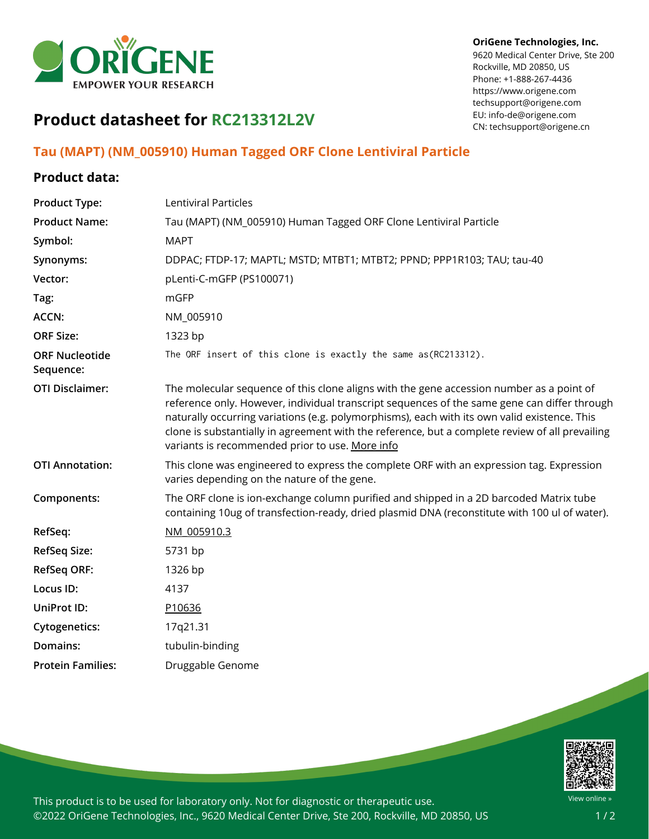

#### **OriGene Technologies, Inc.**

9620 Medical Center Drive, Ste 200 Rockville, MD 20850, US Phone: +1-888-267-4436 https://www.origene.com techsupport@origene.com EU: info-de@origene.com CN: techsupport@origene.cn

## **Product datasheet for RC213312L2V**

### **Tau (MAPT) (NM\_005910) Human Tagged ORF Clone Lentiviral Particle**

#### **Product data:**

| <b>Product Type:</b>               | Lentiviral Particles                                                                                                                                                                                                                                                                                                                                                                                                                           |
|------------------------------------|------------------------------------------------------------------------------------------------------------------------------------------------------------------------------------------------------------------------------------------------------------------------------------------------------------------------------------------------------------------------------------------------------------------------------------------------|
| <b>Product Name:</b>               | Tau (MAPT) (NM_005910) Human Tagged ORF Clone Lentiviral Particle                                                                                                                                                                                                                                                                                                                                                                              |
| Symbol:                            | <b>MAPT</b>                                                                                                                                                                                                                                                                                                                                                                                                                                    |
| Synonyms:                          | DDPAC; FTDP-17; MAPTL; MSTD; MTBT1; MTBT2; PPND; PPP1R103; TAU; tau-40                                                                                                                                                                                                                                                                                                                                                                         |
| Vector:                            | pLenti-C-mGFP (PS100071)                                                                                                                                                                                                                                                                                                                                                                                                                       |
| Tag:                               | mGFP                                                                                                                                                                                                                                                                                                                                                                                                                                           |
| <b>ACCN:</b>                       | NM_005910                                                                                                                                                                                                                                                                                                                                                                                                                                      |
| <b>ORF Size:</b>                   | 1323 bp                                                                                                                                                                                                                                                                                                                                                                                                                                        |
| <b>ORF Nucleotide</b><br>Sequence: | The ORF insert of this clone is exactly the same as(RC213312).                                                                                                                                                                                                                                                                                                                                                                                 |
| <b>OTI Disclaimer:</b>             | The molecular sequence of this clone aligns with the gene accession number as a point of<br>reference only. However, individual transcript sequences of the same gene can differ through<br>naturally occurring variations (e.g. polymorphisms), each with its own valid existence. This<br>clone is substantially in agreement with the reference, but a complete review of all prevailing<br>variants is recommended prior to use. More info |
| <b>OTI Annotation:</b>             | This clone was engineered to express the complete ORF with an expression tag. Expression<br>varies depending on the nature of the gene.                                                                                                                                                                                                                                                                                                        |
| Components:                        | The ORF clone is ion-exchange column purified and shipped in a 2D barcoded Matrix tube<br>containing 10ug of transfection-ready, dried plasmid DNA (reconstitute with 100 ul of water).                                                                                                                                                                                                                                                        |
| RefSeq:                            | NM 005910.3                                                                                                                                                                                                                                                                                                                                                                                                                                    |
| <b>RefSeq Size:</b>                | 5731 bp                                                                                                                                                                                                                                                                                                                                                                                                                                        |
| <b>RefSeq ORF:</b>                 | 1326 bp                                                                                                                                                                                                                                                                                                                                                                                                                                        |
| Locus ID:                          | 4137                                                                                                                                                                                                                                                                                                                                                                                                                                           |
| UniProt ID:                        | P10636                                                                                                                                                                                                                                                                                                                                                                                                                                         |
| <b>Cytogenetics:</b>               | 17q21.31                                                                                                                                                                                                                                                                                                                                                                                                                                       |
| Domains:                           | tubulin-binding                                                                                                                                                                                                                                                                                                                                                                                                                                |
| <b>Protein Families:</b>           | Druggable Genome                                                                                                                                                                                                                                                                                                                                                                                                                               |
|                                    |                                                                                                                                                                                                                                                                                                                                                                                                                                                |



This product is to be used for laboratory only. Not for diagnostic or therapeutic use. ©2022 OriGene Technologies, Inc., 9620 Medical Center Drive, Ste 200, Rockville, MD 20850, US